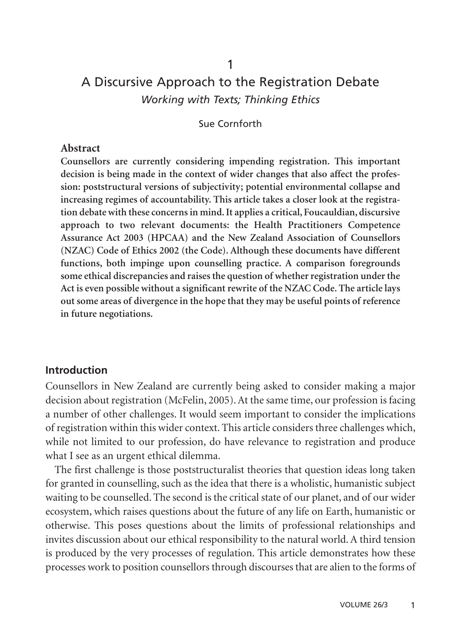# A Discursive Approach to the Registration Debate *Working with Texts; Thinking Ethics*

1

Sue Cornforth

#### **Abstract**

**Counsellors are currently considering impending registration. This important decision is being made in the context of wider changes that also affect the profession: poststructural versions of subjectivity; potential environmental collapse and increasing regimes of accountability. This article takes a closer look at the registration debate with these concerns in mind. It applies a critical, Foucauldian, discursive approach to two relevant documents: the Health Practitioners Competence Assurance Act 2003 (HPCAA) and the New Zealand Association of Counsellors (NZAC) Code of Ethics 2002 (the Code). Although these documents have different functions, both impinge upon counselling practice. A comparison foregrounds some ethical discrepancies and raises the question of whether registration under the Act is even possible without a significant rewrite of the NZAC Code. The article lays out some areas of divergence in the hope that they may be useful points of reference in future negotiations.**

#### **Introduction**

Counsellors in New Zealand are currently being asked to consider making a major decision about registration (McFelin, 2005). At the same time, our profession is facing a number of other challenges. It would seem important to consider the implications of registration within this wider context. This article considers three challenges which, while not limited to our profession, do have relevance to registration and produce what I see as an urgent ethical dilemma.

The first challenge is those poststructuralist theories that question ideas long taken for granted in counselling, such as the idea that there is a wholistic, humanistic subject waiting to be counselled. The second is the critical state of our planet, and of our wider ecosystem, which raises questions about the future of any life on Earth, humanistic or otherwise. This poses questions about the limits of professional relationships and invites discussion about our ethical responsibility to the natural world. A third tension is produced by the very processes of regulation. This article demonstrates how these processes work to position counsellors through discourses that are alien to the forms of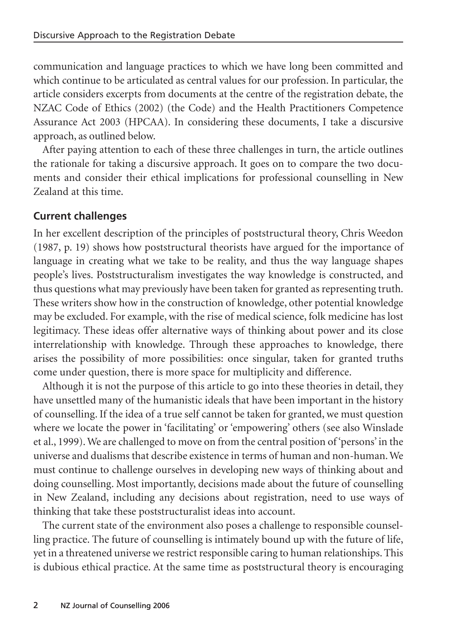communication and language practices to which we have long been committed and which continue to be articulated as central values for our profession. In particular, the article considers excerpts from documents at the centre of the registration debate, the NZAC Code of Ethics (2002) (the Code) and the Health Practitioners Competence Assurance Act 2003 (HPCAA). In considering these documents, I take a discursive approach, as outlined below.

After paying attention to each of these three challenges in turn, the article outlines the rationale for taking a discursive approach. It goes on to compare the two documents and consider their ethical implications for professional counselling in New Zealand at this time.

# **Current challenges**

In her excellent description of the principles of poststructural theory, Chris Weedon (1987, p. 19) shows how poststructural theorists have argued for the importance of language in creating what we take to be reality, and thus the way language shapes people's lives. Poststructuralism investigates the way knowledge is constructed, and thus questions what may previously have been taken for granted as representing truth. These writers show how in the construction of knowledge, other potential knowledge may be excluded. For example, with the rise of medical science, folk medicine has lost legitimacy. These ideas offer alternative ways of thinking about power and its close interrelationship with knowledge. Through these approaches to knowledge, there arises the possibility of more possibilities: once singular, taken for granted truths come under question, there is more space for multiplicity and difference.

Although it is not the purpose of this article to go into these theories in detail, they have unsettled many of the humanistic ideals that have been important in the history of counselling. If the idea of a true self cannot be taken for granted, we must question where we locate the power in 'facilitating' or 'empowering' others (see also Winslade et al., 1999). We are challenged to move on from the central position of 'persons' in the universe and dualisms that describe existence in terms of human and non-human. We must continue to challenge ourselves in developing new ways of thinking about and doing counselling. Most importantly, decisions made about the future of counselling in New Zealand, including any decisions about registration, need to use ways of thinking that take these poststructuralist ideas into account.

The current state of the environment also poses a challenge to responsible counselling practice. The future of counselling is intimately bound up with the future of life, yet in a threatened universe we restrict responsible caring to human relationships. This is dubious ethical practice. At the same time as poststructural theory is encouraging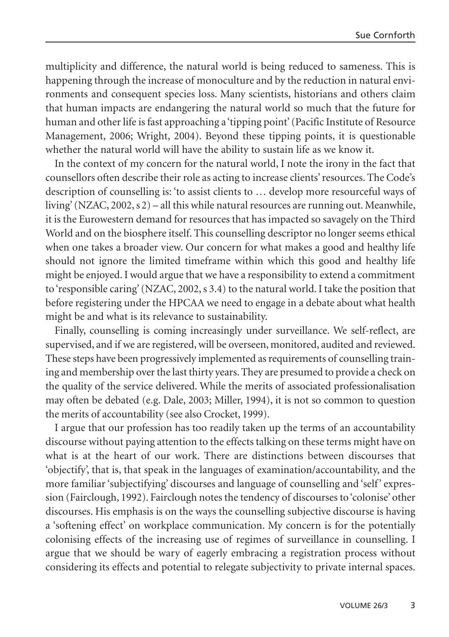multiplicity and difference, the natural world is being reduced to sameness. This is happening through the increase of monoculture and by the reduction in natural environments and consequent species loss. Many scientists, historians and others claim that human impacts are endangering the natural world so much that the future for human and other life is fast approaching a 'tipping point' (Pacific Institute of Resource Management, 2006; Wright, 2004). Beyond these tipping points, it is questionable whether the natural world will have the ability to sustain life as we know it.

In the context of my concern for the natural world, I note the irony in the fact that counsellors often describe their role as acting to increase clients' resources. The Code's description of counselling is: 'to assist clients to … develop more resourceful ways of living' (NZAC, 2002, s 2) – all this while natural resources are running out. Meanwhile, it is the Eurowestern demand for resources that has impacted so savagely on the Third World and on the biosphere itself. This counselling descriptor no longer seems ethical when one takes a broader view. Our concern for what makes a good and healthy life should not ignore the limited timeframe within which this good and healthy life might be enjoyed. I would argue that we have a responsibility to extend a commitment to'responsible caring' (NZAC, 2002, s 3.4) to the natural world. I take the position that before registering under the HPCAA we need to engage in a debate about what health might be and what is its relevance to sustainability.

Finally, counselling is coming increasingly under surveillance. We self-reflect, are supervised, and if we are registered, will be overseen, monitored, audited and reviewed. These steps have been progressively implemented as requirements of counselling training and membership over the last thirty years. They are presumed to provide a check on the quality of the service delivered. While the merits of associated professionalisation may often be debated (e.g. Dale, 2003; Miller, 1994), it is not so common to question the merits of accountability (see also Crocket, 1999).

I argue that our profession has too readily taken up the terms of an accountability discourse without paying attention to the effects talking on these terms might have on what is at the heart of our work. There are distinctions between discourses that 'objectify', that is, that speak in the languages of examination/accountability, and the more familiar 'subjectifying' discourses and language of counselling and 'self' expression (Fairclough, 1992). Fairclough notes the tendency of discourses to 'colonise' other discourses. His emphasis is on the ways the counselling subjective discourse is having a 'softening effect' on workplace communication. My concern is for the potentially colonising effects of the increasing use of regimes of surveillance in counselling. I argue that we should be wary of eagerly embracing a registration process without considering its effects and potential to relegate subjectivity to private internal spaces.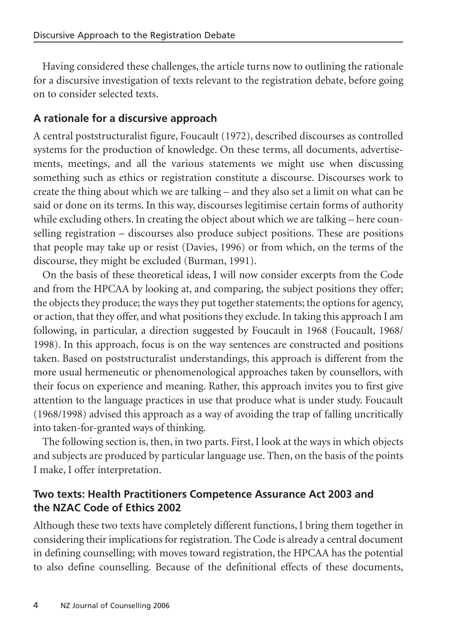Having considered these challenges, the article turns now to outlining the rationale for a discursive investigation of texts relevant to the registration debate, before going on to consider selected texts.

# **A rationale for a discursive approach**

A central poststructuralist figure, Foucault (1972), described discourses as controlled systems for the production of knowledge. On these terms, all documents, advertisements, meetings, and all the various statements we might use when discussing something such as ethics or registration constitute a discourse. Discourses work to create the thing about which we are talking – and they also set a limit on what can be said or done on its terms. In this way, discourses legitimise certain forms of authority while excluding others. In creating the object about which we are talking – here counselling registration – discourses also produce subject positions. These are positions that people may take up or resist (Davies, 1996) or from which, on the terms of the discourse, they might be excluded (Burman, 1991).

On the basis of these theoretical ideas, I will now consider excerpts from the Code and from the HPCAA by looking at, and comparing, the subject positions they offer; the objects they produce; the ways they put together statements; the options for agency, or action, that they offer, and what positions they exclude. In taking this approach I am following, in particular, a direction suggested by Foucault in 1968 (Foucault, 1968/ 1998). In this approach, focus is on the way sentences are constructed and positions taken. Based on poststructuralist understandings, this approach is different from the more usual hermeneutic or phenomenological approaches taken by counsellors, with their focus on experience and meaning. Rather, this approach invites you to first give attention to the language practices in use that produce what is under study. Foucault (1968/1998) advised this approach as a way of avoiding the trap of falling uncritically into taken-for-granted ways of thinking.

The following section is, then, in two parts. First, I look at the ways in which objects and subjects are produced by particular language use. Then, on the basis of the points I make, I offer interpretation.

# **Two texts: Health Practitioners Competence Assurance Act 2003 and the NZAC Code of Ethics 2002**

Although these two texts have completely different functions, I bring them together in considering their implications for registration. The Code is already a central document in defining counselling; with moves toward registration, the HPCAA has the potential to also define counselling. Because of the definitional effects of these documents,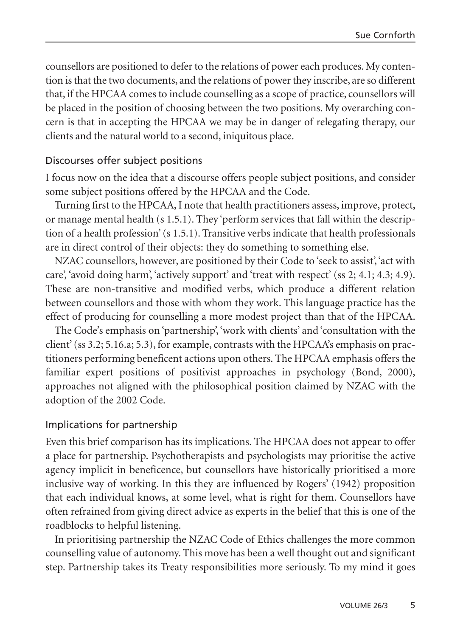counsellors are positioned to defer to the relations of power each produces. My contention is that the two documents, and the relations of power they inscribe, are so different that, if the HPCAA comes to include counselling as a scope of practice, counsellors will be placed in the position of choosing between the two positions. My overarching concern is that in accepting the HPCAA we may be in danger of relegating therapy, our clients and the natural world to a second, iniquitous place.

# Discourses offer subject positions

I focus now on the idea that a discourse offers people subject positions, and consider some subject positions offered by the HPCAA and the Code.

Turning first to the HPCAA, I note that health practitioners assess, improve, protect, or manage mental health (s 1.5.1). They 'perform services that fall within the description of a health profession' (s 1.5.1). Transitive verbs indicate that health professionals are in direct control of their objects: they do something to something else.

NZAC counsellors, however, are positioned by their Code to 'seek to assist', 'act with care', 'avoid doing harm', 'actively support' and 'treat with respect' (ss 2; 4.1; 4.3; 4.9). These are non-transitive and modified verbs, which produce a different relation between counsellors and those with whom they work. This language practice has the effect of producing for counselling a more modest project than that of the HPCAA.

The Code's emphasis on 'partnership', 'work with clients' and 'consultation with the client' (ss 3.2; 5.16.a; 5.3), for example, contrasts with the HPCAA's emphasis on practitioners performing beneficent actions upon others. The HPCAA emphasis offers the familiar expert positions of positivist approaches in psychology (Bond, 2000), approaches not aligned with the philosophical position claimed by NZAC with the adoption of the 2002 Code.

# Implications for partnership

Even this brief comparison has its implications. The HPCAA does not appear to offer a place for partnership. Psychotherapists and psychologists may prioritise the active agency implicit in beneficence, but counsellors have historically prioritised a more inclusive way of working. In this they are influenced by Rogers' (1942) proposition that each individual knows, at some level, what is right for them. Counsellors have often refrained from giving direct advice as experts in the belief that this is one of the roadblocks to helpful listening.

In prioritising partnership the NZAC Code of Ethics challenges the more common counselling value of autonomy. This move has been a well thought out and significant step. Partnership takes its Treaty responsibilities more seriously. To my mind it goes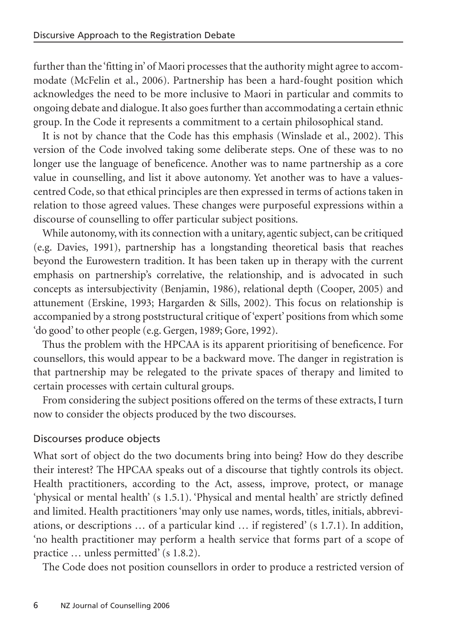further than the 'fitting in' of Maori processes that the authority might agree to accommodate (McFelin et al., 2006). Partnership has been a hard-fought position which acknowledges the need to be more inclusive to Maori in particular and commits to ongoing debate and dialogue. It also goes further than accommodating a certain ethnic group. In the Code it represents a commitment to a certain philosophical stand.

It is not by chance that the Code has this emphasis (Winslade et al., 2002). This version of the Code involved taking some deliberate steps. One of these was to no longer use the language of beneficence. Another was to name partnership as a core value in counselling, and list it above autonomy. Yet another was to have a valuescentred Code, so that ethical principles are then expressed in terms of actions taken in relation to those agreed values. These changes were purposeful expressions within a discourse of counselling to offer particular subject positions.

While autonomy, with its connection with a unitary, agentic subject, can be critiqued (e.g. Davies, 1991), partnership has a longstanding theoretical basis that reaches beyond the Eurowestern tradition. It has been taken up in therapy with the current emphasis on partnership's correlative, the relationship, and is advocated in such concepts as intersubjectivity (Benjamin, 1986), relational depth (Cooper, 2005) and attunement (Erskine, 1993; Hargarden & Sills, 2002). This focus on relationship is accompanied by a strong poststructural critique of 'expert' positions from which some 'do good' to other people (e.g. Gergen, 1989; Gore, 1992).

Thus the problem with the HPCAA is its apparent prioritising of beneficence. For counsellors, this would appear to be a backward move. The danger in registration is that partnership may be relegated to the private spaces of therapy and limited to certain processes with certain cultural groups.

From considering the subject positions offered on the terms of these extracts, I turn now to consider the objects produced by the two discourses.

# Discourses produce objects

What sort of object do the two documents bring into being? How do they describe their interest? The HPCAA speaks out of a discourse that tightly controls its object. Health practitioners, according to the Act, assess, improve, protect, or manage 'physical or mental health' (s 1.5.1). 'Physical and mental health' are strictly defined and limited. Health practitioners 'may only use names, words, titles, initials, abbreviations, or descriptions … of a particular kind … if registered' (s 1.7.1). In addition, 'no health practitioner may perform a health service that forms part of a scope of practice … unless permitted' (s 1.8.2).

The Code does not position counsellors in order to produce a restricted version of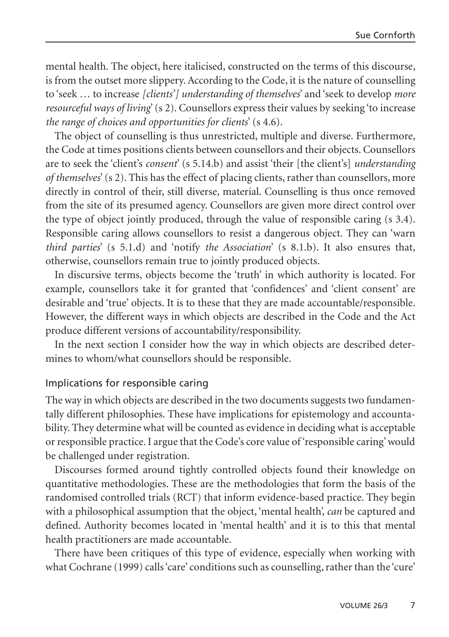mental health. The object, here italicised, constructed on the terms of this discourse, is from the outset more slippery. According to the Code, it is the nature of counselling to 'seek … to increase *[clients'] understanding of themselves*' and 'seek to develop *more resourceful ways of living*' (s 2). Counsellors express their values by seeking 'to increase *the range of choices and opportunities for clients*' (s 4.6).

The object of counselling is thus unrestricted, multiple and diverse. Furthermore, the Code at times positions clients between counsellors and their objects. Counsellors are to seek the 'client's *consent*' (s 5.14.b) and assist 'their [the client's] *understanding of themselves*' (s 2). This has the effect of placing clients, rather than counsellors, more directly in control of their, still diverse, material. Counselling is thus once removed from the site of its presumed agency. Counsellors are given more direct control over the type of object jointly produced, through the value of responsible caring (s 3.4). Responsible caring allows counsellors to resist a dangerous object. They can 'warn *third parties*' (s 5.1.d) and 'notify *the Association*' (s 8.1.b). It also ensures that, otherwise, counsellors remain true to jointly produced objects.

In discursive terms, objects become the 'truth' in which authority is located. For example, counsellors take it for granted that 'confidences' and 'client consent' are desirable and 'true' objects. It is to these that they are made accountable/responsible. However, the different ways in which objects are described in the Code and the Act produce different versions of accountability/responsibility.

In the next section I consider how the way in which objects are described determines to whom/what counsellors should be responsible.

#### Implications for responsible caring

The way in which objects are described in the two documents suggests two fundamentally different philosophies. These have implications for epistemology and accountability. They determine what will be counted as evidence in deciding what is acceptable or responsible practice. I argue that the Code's core value of 'responsible caring' would be challenged under registration.

Discourses formed around tightly controlled objects found their knowledge on quantitative methodologies. These are the methodologies that form the basis of the randomised controlled trials (RCT) that inform evidence-based practice. They begin with a philosophical assumption that the object, 'mental health', *can* be captured and defined. Authority becomes located in 'mental health' and it is to this that mental health practitioners are made accountable.

There have been critiques of this type of evidence, especially when working with what Cochrane (1999) calls 'care' conditions such as counselling, rather than the 'cure'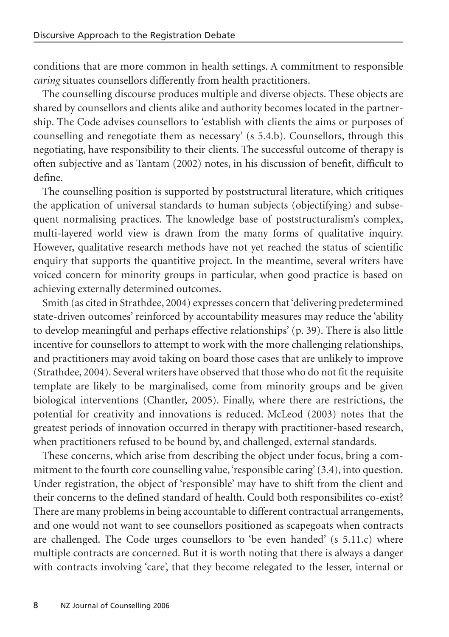conditions that are more common in health settings. A commitment to responsible *caring* situates counsellors differently from health practitioners.

The counselling discourse produces multiple and diverse objects. These objects are shared by counsellors and clients alike and authority becomes located in the partnership. The Code advises counsellors to 'establish with clients the aims or purposes of counselling and renegotiate them as necessary' (s 5.4.b). Counsellors, through this negotiating, have responsibility to their clients. The successful outcome of therapy is often subjective and as Tantam (2002) notes, in his discussion of benefit, difficult to define.

The counselling position is supported by poststructural literature, which critiques the application of universal standards to human subjects (objectifying) and subsequent normalising practices. The knowledge base of poststructuralism's complex, multi-layered world view is drawn from the many forms of qualitative inquiry. However, qualitative research methods have not yet reached the status of scientific enquiry that supports the quantitive project. In the meantime, several writers have voiced concern for minority groups in particular, when good practice is based on achieving externally determined outcomes.

Smith (as cited in Strathdee, 2004) expresses concern that 'delivering predetermined state-driven outcomes' reinforced by accountability measures may reduce the 'ability to develop meaningful and perhaps effective relationships' (p. 39). There is also little incentive for counsellors to attempt to work with the more challenging relationships, and practitioners may avoid taking on board those cases that are unlikely to improve (Strathdee, 2004). Several writers have observed that those who do not fit the requisite template are likely to be marginalised, come from minority groups and be given biological interventions (Chantler, 2005). Finally, where there are restrictions, the potential for creativity and innovations is reduced. McLeod (2003) notes that the greatest periods of innovation occurred in therapy with practitioner-based research, when practitioners refused to be bound by, and challenged, external standards.

These concerns, which arise from describing the object under focus, bring a commitment to the fourth core counselling value, 'responsible caring' (3.4), into question. Under registration, the object of 'responsible' may have to shift from the client and their concerns to the defined standard of health. Could both responsibilites co-exist? There are many problems in being accountable to different contractual arrangements, and one would not want to see counsellors positioned as scapegoats when contracts are challenged. The Code urges counsellors to 'be even handed' (s 5.11.c) where multiple contracts are concerned. But it is worth noting that there is always a danger with contracts involving 'care', that they become relegated to the lesser, internal or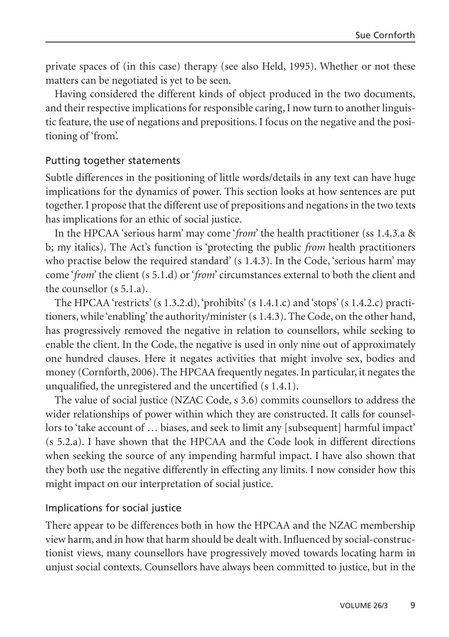private spaces of (in this case) therapy (see also Held, 1995). Whether or not these matters can be negotiated is yet to be seen.

Having considered the different kinds of object produced in the two documents, and their respective implications for responsible caring, I now turn to another linguistic feature, the use of negations and prepositions. I focus on the negative and the positioning of 'from'.

#### Putting together statements

Subtle differences in the positioning of little words/details in any text can have huge implications for the dynamics of power. This section looks at how sentences are put together. I propose that the different use of prepositions and negations in the two texts has implications for an ethic of social justice.

In the HPCAA 'serious harm' may come '*from*' the health practitioner (ss 1.4.3.a & b; my italics). The Act's function is 'protecting the public *from* health practitioners who practise below the required standard' (s 1.4.3). In the Code, 'serious harm' may come '*from*' the client (s 5.1.d) or '*from*' circumstances external to both the client and the counsellor (s 5.1.a).

The HPCAA 'restricts'  $(s 1.3.2. d)$ , 'prohibits'  $(s 1.4.1.c)$  and 'stops'  $(s 1.4.2.c)$  practitioners, while 'enabling' the authority/minister (s 1.4.3). The Code, on the other hand, has progressively removed the negative in relation to counsellors, while seeking to enable the client. In the Code, the negative is used in only nine out of approximately one hundred clauses. Here it negates activities that might involve sex, bodies and money (Cornforth, 2006). The HPCAA frequently negates. In particular, it negates the unqualified, the unregistered and the uncertified (s 1.4.1).

The value of social justice (NZAC Code, s 3.6) commits counsellors to address the wider relationships of power within which they are constructed. It calls for counsellors to 'take account of … biases, and seek to limit any [subsequent] harmful impact' (s 5.2.a). I have shown that the HPCAA and the Code look in different directions when seeking the source of any impending harmful impact. I have also shown that they both use the negative differently in effecting any limits. I now consider how this might impact on our interpretation of social justice.

# Implications for social justice

There appear to be differences both in how the HPCAA and the NZAC membership view harm, and in how that harm should be dealt with. Influenced by social-constructionist views, many counsellors have progressively moved towards locating harm in unjust social contexts. Counsellors have always been committed to justice, but in the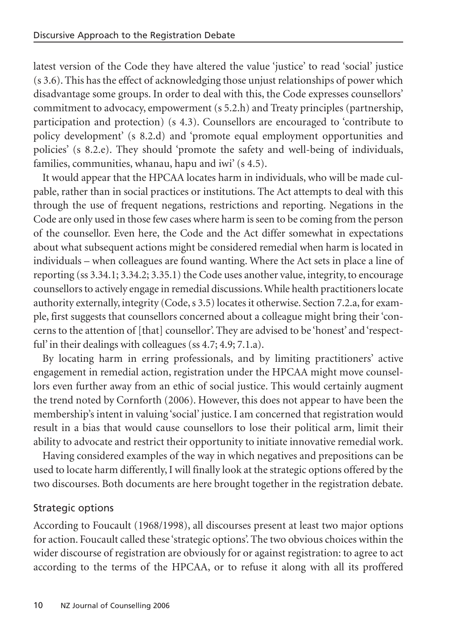latest version of the Code they have altered the value 'justice' to read 'social' justice (s 3.6). This has the effect of acknowledging those unjust relationships of power which disadvantage some groups. In order to deal with this, the Code expresses counsellors' commitment to advocacy, empowerment (s 5.2.h) and Treaty principles (partnership, participation and protection) (s 4.3). Counsellors are encouraged to 'contribute to policy development' (s 8.2.d) and 'promote equal employment opportunities and policies' (s 8.2.e). They should 'promote the safety and well-being of individuals, families, communities, whanau, hapu and iwi' (s 4.5).

It would appear that the HPCAA locates harm in individuals, who will be made culpable, rather than in social practices or institutions. The Act attempts to deal with this through the use of frequent negations, restrictions and reporting. Negations in the Code are only used in those few cases where harm is seen to be coming from the person of the counsellor. Even here, the Code and the Act differ somewhat in expectations about what subsequent actions might be considered remedial when harm is located in individuals – when colleagues are found wanting. Where the Act sets in place a line of reporting (ss 3.34.1; 3.34.2; 3.35.1) the Code uses another value, integrity, to encourage counsellors to actively engage in remedial discussions. While health practitioners locate authority externally, integrity (Code, s 3.5) locates it otherwise. Section 7.2.a, for example, first suggests that counsellors concerned about a colleague might bring their 'concerns to the attention of [that] counsellor'. They are advised to be 'honest' and 'respectful' in their dealings with colleagues (ss 4.7; 4.9; 7.1.a).

By locating harm in erring professionals, and by limiting practitioners' active engagement in remedial action, registration under the HPCAA might move counsellors even further away from an ethic of social justice. This would certainly augment the trend noted by Cornforth (2006). However, this does not appear to have been the membership's intent in valuing 'social' justice. I am concerned that registration would result in a bias that would cause counsellors to lose their political arm, limit their ability to advocate and restrict their opportunity to initiate innovative remedial work.

Having considered examples of the way in which negatives and prepositions can be used to locate harm differently, I will finally look at the strategic options offered by the two discourses. Both documents are here brought together in the registration debate.

# Strategic options

According to Foucault (1968/1998), all discourses present at least two major options for action. Foucault called these 'strategic options'. The two obvious choices within the wider discourse of registration are obviously for or against registration: to agree to act according to the terms of the HPCAA, or to refuse it along with all its proffered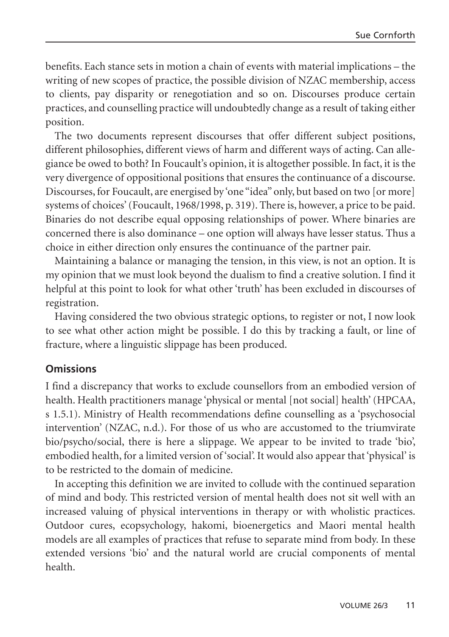benefits. Each stance sets in motion a chain of events with material implications – the writing of new scopes of practice, the possible division of NZAC membership, access to clients, pay disparity or renegotiation and so on. Discourses produce certain practices, and counselling practice will undoubtedly change as a result of taking either position.

The two documents represent discourses that offer different subject positions, different philosophies, different views of harm and different ways of acting. Can allegiance be owed to both? In Foucault's opinion, it is altogether possible. In fact, it is the very divergence of oppositional positions that ensures the continuance of a discourse. Discourses, for Foucault, are energised by 'one "idea" only, but based on two [or more] systems of choices' (Foucault, 1968/1998, p. 319). There is, however, a price to be paid. Binaries do not describe equal opposing relationships of power. Where binaries are concerned there is also dominance – one option will always have lesser status. Thus a choice in either direction only ensures the continuance of the partner pair.

Maintaining a balance or managing the tension, in this view, is not an option. It is my opinion that we must look beyond the dualism to find a creative solution. I find it helpful at this point to look for what other 'truth' has been excluded in discourses of registration.

Having considered the two obvious strategic options, to register or not, I now look to see what other action might be possible. I do this by tracking a fault, or line of fracture, where a linguistic slippage has been produced.

# **Omissions**

I find a discrepancy that works to exclude counsellors from an embodied version of health. Health practitioners manage 'physical or mental [not social] health' (HPCAA, s 1.5.1). Ministry of Health recommendations define counselling as a 'psychosocial intervention' (NZAC, n.d.). For those of us who are accustomed to the triumvirate bio/psycho/social, there is here a slippage. We appear to be invited to trade 'bio', embodied health, for a limited version of 'social'. It would also appear that 'physical' is to be restricted to the domain of medicine.

In accepting this definition we are invited to collude with the continued separation of mind and body. This restricted version of mental health does not sit well with an increased valuing of physical interventions in therapy or with wholistic practices. Outdoor cures, ecopsychology, hakomi, bioenergetics and Maori mental health models are all examples of practices that refuse to separate mind from body. In these extended versions 'bio' and the natural world are crucial components of mental health.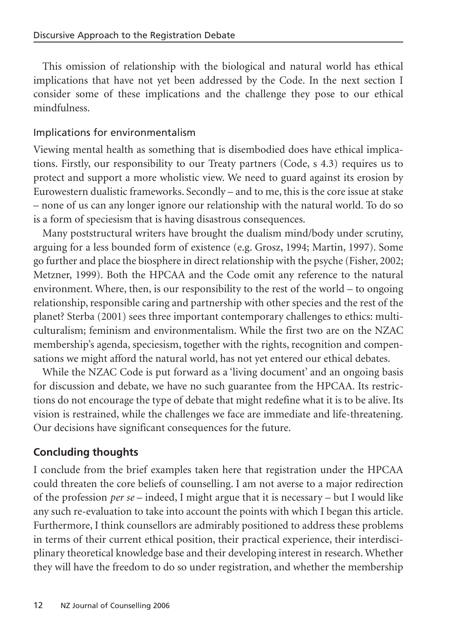This omission of relationship with the biological and natural world has ethical implications that have not yet been addressed by the Code. In the next section I consider some of these implications and the challenge they pose to our ethical mindfulness.

# Implications for environmentalism

Viewing mental health as something that is disembodied does have ethical implications. Firstly, our responsibility to our Treaty partners (Code, s 4.3) requires us to protect and support a more wholistic view. We need to guard against its erosion by Eurowestern dualistic frameworks. Secondly – and to me, this is the core issue at stake – none of us can any longer ignore our relationship with the natural world. To do so is a form of speciesism that is having disastrous consequences.

Many poststructural writers have brought the dualism mind/body under scrutiny, arguing for a less bounded form of existence (e.g. Grosz, 1994; Martin, 1997). Some go further and place the biosphere in direct relationship with the psyche (Fisher, 2002; Metzner, 1999). Both the HPCAA and the Code omit any reference to the natural environment. Where, then, is our responsibility to the rest of the world – to ongoing relationship, responsible caring and partnership with other species and the rest of the planet? Sterba (2001) sees three important contemporary challenges to ethics: multiculturalism; feminism and environmentalism. While the first two are on the NZAC membership's agenda, speciesism, together with the rights, recognition and compensations we might afford the natural world, has not yet entered our ethical debates.

While the NZAC Code is put forward as a 'living document' and an ongoing basis for discussion and debate, we have no such guarantee from the HPCAA. Its restrictions do not encourage the type of debate that might redefine what it is to be alive. Its vision is restrained, while the challenges we face are immediate and life-threatening. Our decisions have significant consequences for the future.

# **Concluding thoughts**

I conclude from the brief examples taken here that registration under the HPCAA could threaten the core beliefs of counselling. I am not averse to a major redirection of the profession *per se* – indeed, I might argue that it is necessary – but I would like any such re-evaluation to take into account the points with which I began this article. Furthermore, I think counsellors are admirably positioned to address these problems in terms of their current ethical position, their practical experience, their interdisciplinary theoretical knowledge base and their developing interest in research. Whether they will have the freedom to do so under registration, and whether the membership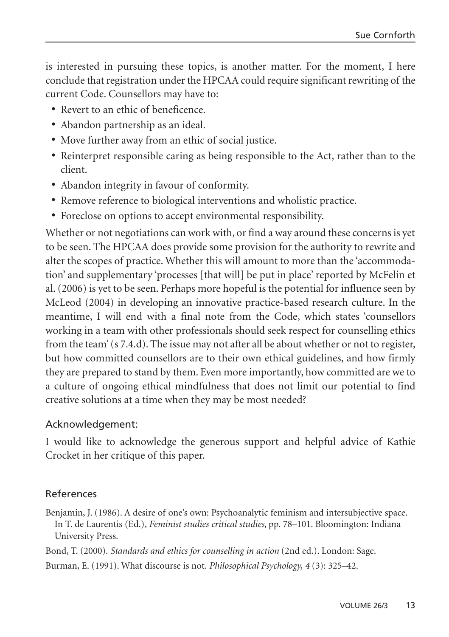is interested in pursuing these topics, is another matter. For the moment, I here conclude that registration under the HPCAA could require significant rewriting of the current Code. Counsellors may have to:

- **•** Revert to an ethic of beneficence.
- **•** Abandon partnership as an ideal.
- **•** Move further away from an ethic of social justice.
- **•** Reinterpret responsible caring as being responsible to the Act, rather than to the client.
- **•** Abandon integrity in favour of conformity.
- **•** Remove reference to biological interventions and wholistic practice.
- **•** Foreclose on options to accept environmental responsibility.

Whether or not negotiations can work with, or find a way around these concerns is yet to be seen. The HPCAA does provide some provision for the authority to rewrite and alter the scopes of practice. Whether this will amount to more than the 'accommodation' and supplementary 'processes [that will] be put in place' reported by McFelin et al.(2006) is yet to be seen. Perhaps more hopeful is the potential for influence seen by McLeod (2004) in developing an innovative practice-based research culture. In the meantime, I will end with a final note from the Code, which states 'counsellors working in a team with other professionals should seek respect for counselling ethics from the team' (s 7.4.d). The issue may not after all be about whether or not to register, but how committed counsellors are to their own ethical guidelines, and how firmly they are prepared to stand by them. Even more importantly, how committed are we to a culture of ongoing ethical mindfulness that does not limit our potential to find creative solutions at a time when they may be most needed?

# Acknowledgement:

I would like to acknowledge the generous support and helpful advice of Kathie Crocket in her critique of this paper.

# References

Benjamin, J. (1986). A desire of one's own: Psychoanalytic feminism and intersubjective space. In T. de Laurentis (Ed.), *Feminist studies critical studies*, pp. 78–101. Bloomington: Indiana University Press.

Bond, T. (2000). *Standards and ethics for counselling in action* (2nd ed.). London: Sage.

Burman, E. (1991). What discourse is not. *Philosophical Psychology, 4* (3): 325–42.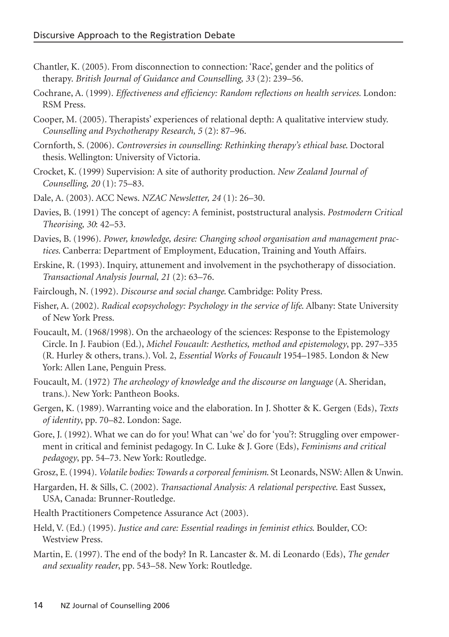- Chantler, K. (2005). From disconnection to connection: 'Race', gender and the politics of therapy. *British Journal of Guidance and Counselling, 33* (2): 239–56.
- Cochrane, A. (1999). *Effectiveness and efficiency: Random reflections on health services.* London: RSM Press.
- Cooper, M. (2005). Therapists' experiences of relational depth: A qualitative interview study. *Counselling and Psychotherapy Research, 5* (2): 87–96.
- Cornforth, S. (2006). *Controversies in counselling: Rethinking therapy's ethical base*. Doctoral thesis. Wellington: University of Victoria.
- Crocket, K. (1999) Supervision: A site of authority production. *New Zealand Journal of Counselling, 20* (1): 75–83.
- Dale, A. (2003). ACC News. *NZAC Newsletter, 24* (1): 26–30.
- Davies, B. (1991) The concept of agency: A feminist, poststructural analysis. *Postmodern Critical Theorising, 30*: 42–53.
- Davies, B. (1996). *Power, knowledge, desire: Changing school organisation and management practices*. Canberra: Department of Employment, Education, Training and Youth Affairs.
- Erskine, R. (1993). Inquiry, attunement and involvement in the psychotherapy of dissociation. *Transactional Analysis Journal, 21* (2): 63–76.
- Fairclough, N. (1992). *Discourse and social change*. Cambridge: Polity Press.
- Fisher, A. (2002). *Radical ecopsychology: Psychology in the service of life*. Albany: State University of New York Press.
- Foucault, M. (1968/1998). On the archaeology of the sciences: Response to the Epistemology Circle. In J. Faubion (Ed.), *Michel Foucault: Aesthetics, method and epistemology*, pp. 297–335 (R. Hurley & others, trans.). Vol. 2, *Essential Works of Foucault* 1954–1985. London & New York: Allen Lane, Penguin Press.
- Foucault, M. (1972) *The archeology of knowledge and the discourse on language* (A. Sheridan, trans.). New York: Pantheon Books.
- Gergen, K. (1989). Warranting voice and the elaboration. In J. Shotter & K. Gergen (Eds), *Texts of identity*, pp. 70–82. London: Sage.
- Gore, J. (1992). What we can do for you! What can 'we' do for 'you'?: Struggling over empowerment in critical and feminist pedagogy. In C. Luke & J. Gore (Eds), *Feminisms and critical pedagogy*, pp. 54–73. New York: Routledge.

Grosz, E. (1994). *Volatile bodies: Towards a corporeal feminism*. St Leonards, NSW: Allen & Unwin.

- Hargarden, H. & Sills, C. (2002). *Transactional Analysis: A relational perspective*. East Sussex, USA, Canada: Brunner-Routledge.
- Health Practitioners Competence Assurance Act (2003).
- Held, V. (Ed.) (1995). *Justice and care: Essential readings in feminist ethics*. Boulder, CO: Westview Press.

Martin, E. (1997). The end of the body? In R. Lancaster &. M. di Leonardo (Eds), *The gender and sexuality reader*, pp. 543–58. New York: Routledge.